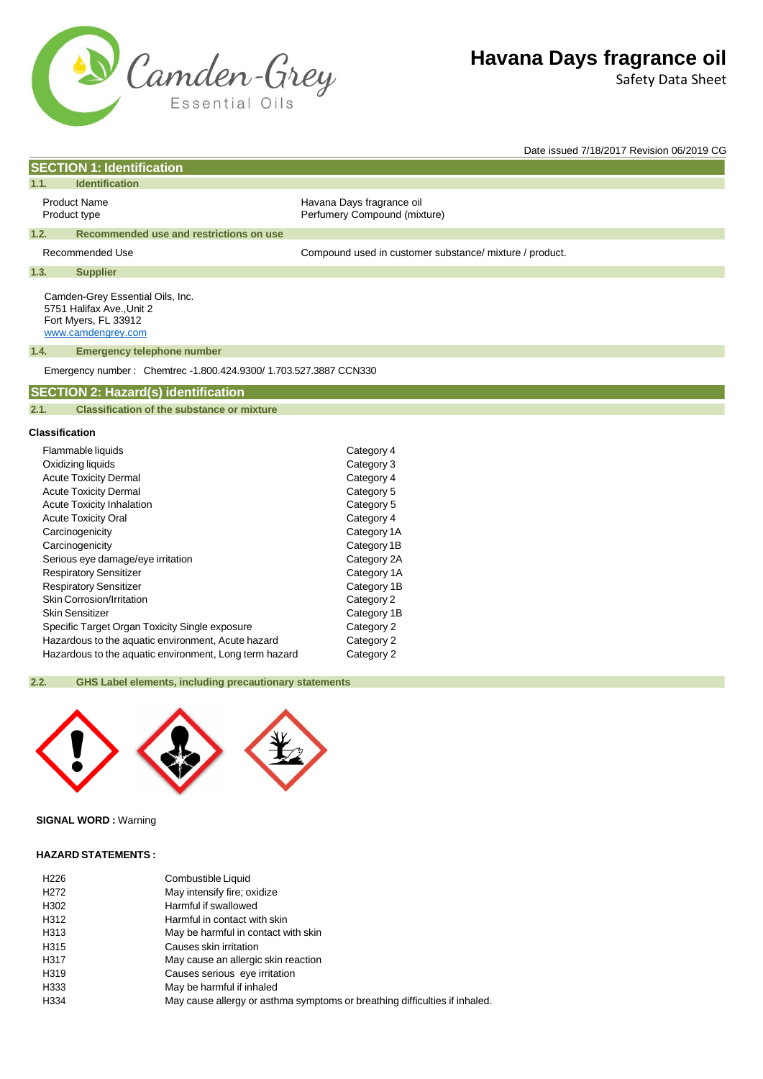

Safety Data Sheet

Date issued 7/18/2017 Revision 06/2019 CG

# **SECTION 1: Identification**

# **1.1. Identification**

Product Name **Havana Days fragrance oil** Product type **Product type Accord Perfumery Compound (mixture)** 

#### **1.2. Recommended use and restrictions on use**

Recommended Use example and the Compound used in customer substance/ mixture / product.

# **1.3. Supplier**

Camden-Grey Essential Oils, Inc. 5751 Halifax Ave.,Unit 2 Fort Myers, FL 33912 [www.camdengrey.com](http://www.camdengrey.com/)

#### **1.4. Emergency telephone number**

Emergency number : Chemtrec -1.800.424.9300/ 1.703.527.3887 CCN330

# **SECTION 2: Hazard(s) identification**

#### **2.1. Classification of the substance or mixture**

### **Classification**

| Flammable liquids                                      | Category 4  |
|--------------------------------------------------------|-------------|
| Oxidizing liquids                                      | Category 3  |
| <b>Acute Toxicity Dermal</b>                           | Category 4  |
| <b>Acute Toxicity Dermal</b>                           | Category 5  |
| <b>Acute Toxicity Inhalation</b>                       | Category 5  |
| <b>Acute Toxicity Oral</b>                             | Category 4  |
| Carcinogenicity                                        | Category 1A |
| Carcinogenicity                                        | Category 1B |
| Serious eye damage/eye irritation                      | Category 2A |
| <b>Respiratory Sensitizer</b>                          | Category 1A |
| <b>Respiratory Sensitizer</b>                          | Category 1B |
| Skin Corrosion/Irritation                              | Category 2  |
| Skin Sensitizer                                        | Category 1B |
| Specific Target Organ Toxicity Single exposure         | Category 2  |
| Hazardous to the aquatic environment, Acute hazard     | Category 2  |
| Hazardous to the aquatic environment, Long term hazard | Category 2  |

# **2.2. GHS Label elements, including precautionary statements**



# **SIGNAL WORD :** Warning

### **HAZARD STATEMENTS :**

| H <sub>226</sub>  | Combustible Liquid                                                         |
|-------------------|----------------------------------------------------------------------------|
| H <sub>2</sub> 72 | May intensify fire; oxidize                                                |
| H302              | Harmful if swallowed                                                       |
| H312              | Harmful in contact with skin                                               |
| H313              | May be harmful in contact with skin                                        |
| H315              | Causes skin irritation                                                     |
| H317              | May cause an allergic skin reaction                                        |
| H319              | Causes serious eye irritation                                              |
| H333              | May be harmful if inhaled                                                  |
| H334              | May cause allergy or asthma symptoms or breathing difficulties if inhaled. |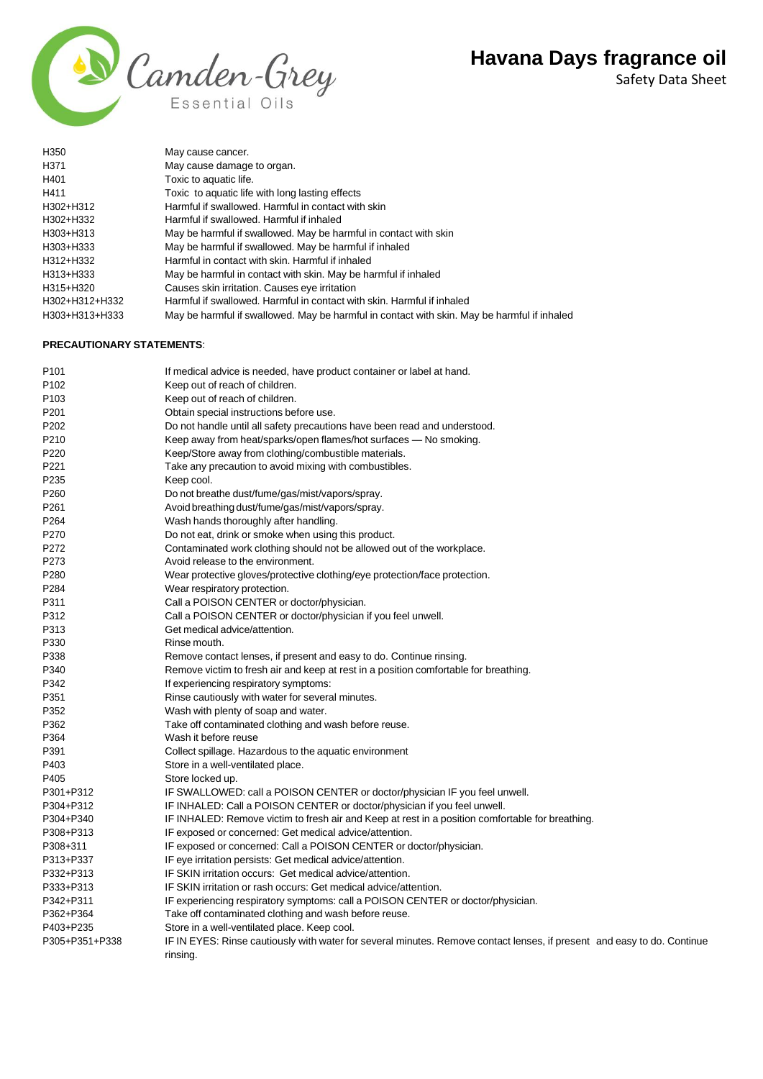Safety Data Sheet



| H350           | May cause cancer.                                                                           |
|----------------|---------------------------------------------------------------------------------------------|
| H371           | May cause damage to organ.                                                                  |
| H401           | Toxic to aquatic life.                                                                      |
| H411           | Toxic to aquatic life with long lasting effects                                             |
| H302+H312      | Harmful if swallowed. Harmful in contact with skin                                          |
| H302+H332      | Harmful if swallowed. Harmful if inhaled                                                    |
| H303+H313      | May be harmful if swallowed. May be harmful in contact with skin                            |
| H303+H333      | May be harmful if swallowed. May be harmful if inhaled                                      |
| H312+H332      | Harmful in contact with skin. Harmful if inhaled                                            |
| H313+H333      | May be harmful in contact with skin. May be harmful if inhaled                              |
| H315+H320      | Causes skin irritation. Causes eye irritation                                               |
| H302+H312+H332 | Harmful if swallowed. Harmful in contact with skin. Harmful if inhaled                      |
| H303+H313+H333 | May be harmful if swallowed. May be harmful in contact with skin. May be harmful if inhaled |

# **PRECAUTIONARY STATEMENTS**:

| P <sub>101</sub> | If medical advice is needed, have product container or label at hand.                                                   |
|------------------|-------------------------------------------------------------------------------------------------------------------------|
| P <sub>102</sub> | Keep out of reach of children.                                                                                          |
| P <sub>103</sub> | Keep out of reach of children.                                                                                          |
| P <sub>201</sub> | Obtain special instructions before use.                                                                                 |
| P202             | Do not handle until all safety precautions have been read and understood.                                               |
| P210             | Keep away from heat/sparks/open flames/hot surfaces - No smoking.                                                       |
| P220             | Keep/Store away from clothing/combustible materials.                                                                    |
| P221             | Take any precaution to avoid mixing with combustibles.                                                                  |
| P235             | Keep cool.                                                                                                              |
| P <sub>260</sub> | Do not breathe dust/fume/gas/mist/vapors/spray.                                                                         |
| P <sub>261</sub> | Avoid breathing dust/fume/gas/mist/vapors/spray.                                                                        |
| P264             | Wash hands thoroughly after handling.                                                                                   |
| P270             | Do not eat, drink or smoke when using this product.                                                                     |
| P272             | Contaminated work clothing should not be allowed out of the workplace.                                                  |
| P273             | Avoid release to the environment.                                                                                       |
| P280             | Wear protective gloves/protective clothing/eye protection/face protection.                                              |
| P284             | Wear respiratory protection.                                                                                            |
| P311             | Call a POISON CENTER or doctor/physician.                                                                               |
| P312             | Call a POISON CENTER or doctor/physician if you feel unwell.                                                            |
| P313             | Get medical advice/attention.                                                                                           |
| P330             | Rinse mouth.                                                                                                            |
| P338             | Remove contact lenses, if present and easy to do. Continue rinsing.                                                     |
| P340             | Remove victim to fresh air and keep at rest in a position comfortable for breathing.                                    |
| P342             | If experiencing respiratory symptoms:                                                                                   |
| P351             | Rinse cautiously with water for several minutes.                                                                        |
| P352             | Wash with plenty of soap and water.                                                                                     |
| P362             | Take off contaminated clothing and wash before reuse.                                                                   |
| P364             | Wash it before reuse                                                                                                    |
| P391             | Collect spillage. Hazardous to the aquatic environment                                                                  |
| P403             | Store in a well-ventilated place.                                                                                       |
| P405             | Store locked up.                                                                                                        |
| P301+P312        | IF SWALLOWED: call a POISON CENTER or doctor/physician IF you feel unwell.                                              |
| P304+P312        | IF INHALED: Call a POISON CENTER or doctor/physician if you feel unwell.                                                |
| P304+P340        | IF INHALED: Remove victim to fresh air and Keep at rest in a position comfortable for breathing.                        |
| P308+P313        | IF exposed or concerned: Get medical advice/attention.                                                                  |
| P308+311         | IF exposed or concerned: Call a POISON CENTER or doctor/physician.                                                      |
| P313+P337        | IF eye irritation persists: Get medical advice/attention.                                                               |
| P332+P313        | IF SKIN irritation occurs: Get medical advice/attention.                                                                |
| P333+P313        | IF SKIN irritation or rash occurs: Get medical advice/attention.                                                        |
| P342+P311        | IF experiencing respiratory symptoms: call a POISON CENTER or doctor/physician.                                         |
| P362+P364        | Take off contaminated clothing and wash before reuse.                                                                   |
| P403+P235        | Store in a well-ventilated place. Keep cool.                                                                            |
| P305+P351+P338   | IF IN EYES: Rinse cautiously with water for several minutes. Remove contact lenses, if present and easy to do. Continue |
|                  | rinsing.                                                                                                                |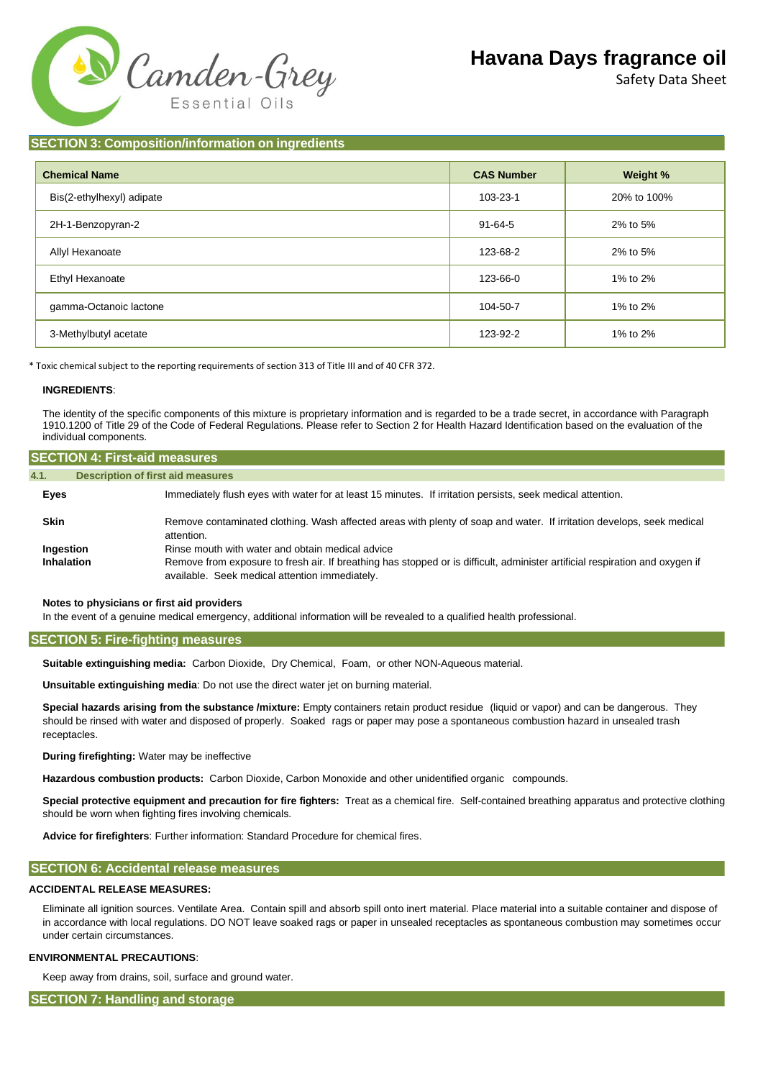

Safety Data Sheet

# **SECTION 3: Composition/information on ingredients**

| <b>Chemical Name</b>      | <b>CAS Number</b> | Weight %    |
|---------------------------|-------------------|-------------|
| Bis(2-ethylhexyl) adipate | 103-23-1          | 20% to 100% |
| 2H-1-Benzopyran-2         | $91 - 64 - 5$     | 2% to 5%    |
| Allyl Hexanoate           | 123-68-2          | 2% to 5%    |
| Ethyl Hexanoate           | 123-66-0          | 1% to 2%    |
| gamma-Octanoic lactone    | 104-50-7          | 1% to 2%    |
| 3-Methylbutyl acetate     | 123-92-2          | 1% to 2%    |

\* Toxic chemical subject to the reporting requirements of section 313 of Title III and of 40 CFR 372.

#### **INGREDIENTS**:

The identity of the specific components of this mixture is proprietary information and is regarded to be a trade secret, in accordance with Paragraph 1910.1200 of Title 29 of the Code of Federal Regulations. Please refer to Section 2 for Health Hazard Identification based on the evaluation of the individual components.

| <b>SECTION 4: First-aid measures</b> |                                                                                                                                                                                |
|--------------------------------------|--------------------------------------------------------------------------------------------------------------------------------------------------------------------------------|
| 4.1.                                 | <b>Description of first aid measures</b>                                                                                                                                       |
| Eyes                                 | Immediately flush eyes with water for at least 15 minutes. If irritation persists, seek medical attention.                                                                     |
| <b>Skin</b>                          | Remove contaminated clothing. Wash affected areas with plenty of soap and water. If irritation develops, seek medical<br>attention.                                            |
| Ingestion                            | Rinse mouth with water and obtain medical advice                                                                                                                               |
| Inhalation                           | Remove from exposure to fresh air. If breathing has stopped or is difficult, administer artificial respiration and oxygen if<br>available. Seek medical attention immediately. |

#### **Notes to physicians or first aid providers**

In the event of a genuine medical emergency, additional information will be revealed to a qualified health professional.

#### **SECTION 5: Fire-fighting measures**

**Suitable extinguishing media:** Carbon Dioxide, Dry Chemical, Foam, or other NON-Aqueous material.

**Unsuitable extinguishing media**: Do not use the direct water jet on burning material.

**Special hazards arising from the substance /mixture:** Empty containers retain product residue (liquid or vapor) and can be dangerous. They should be rinsed with water and disposed of properly. Soaked rags or paper may pose a spontaneous combustion hazard in unsealed trash receptacles.

**During firefighting:** Water may be ineffective

**Hazardous combustion products:** Carbon Dioxide, Carbon Monoxide and other unidentified organic compounds.

**Special protective equipment and precaution for fire fighters:** Treat as a chemical fire. Self-contained breathing apparatus and protective clothing should be worn when fighting fires involving chemicals.

**Advice for firefighters**: Further information: Standard Procedure for chemical fires.

# **SECTION 6: Accidental release measures**

### **ACCIDENTAL RELEASE MEASURES:**

Eliminate all ignition sources. Ventilate Area. Contain spill and absorb spill onto inert material. Place material into a suitable container and dispose of in accordance with local regulations. DO NOT leave soaked rags or paper in unsealed receptacles as spontaneous combustion may sometimes occur under certain circumstances.

#### **ENVIRONMENTAL PRECAUTIONS**:

Keep away from drains, soil, surface and ground water.

**SECTION 7: Handling and storage**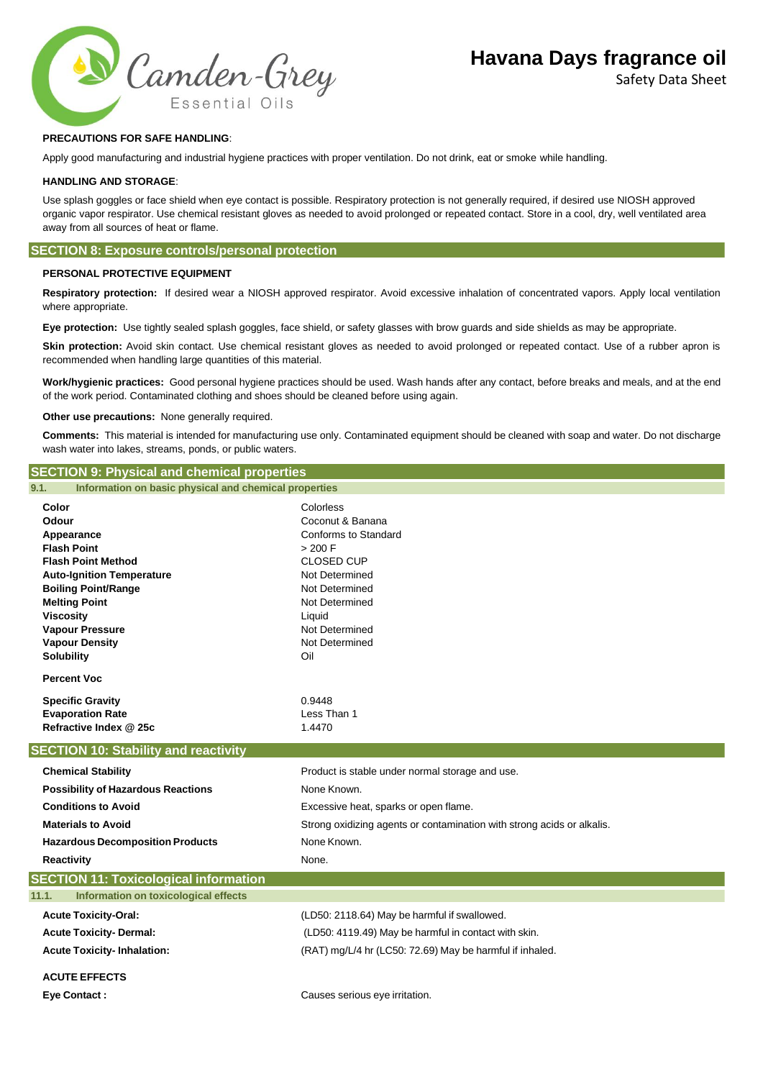

Safety Data Sheet

# **PRECAUTIONS FOR SAFE HANDLING**:

Apply good manufacturing and industrial hygiene practices with proper ventilation. Do not drink, eat or smoke while handling.

#### **HANDLING AND STORAGE**:

Use splash goggles or face shield when eye contact is possible. Respiratory protection is not generally required, if desired use NIOSH approved organic vapor respirator. Use chemical resistant gloves as needed to avoid prolonged or repeated contact. Store in a cool, dry, well ventilated area away from all sources of heat or flame.

# **SECTION 8: Exposure controls/personal protection**

# **PERSONAL PROTECTIVE EQUIPMENT**

**Respiratory protection:** If desired wear a NIOSH approved respirator. Avoid excessive inhalation of concentrated vapors. Apply local ventilation where appropriate.

**Eye protection:** Use tightly sealed splash goggles, face shield, or safety glasses with brow guards and side shields as may be appropriate.

Skin protection: Avoid skin contact. Use chemical resistant gloves as needed to avoid prolonged or repeated contact. Use of a rubber apron is recommended when handling large quantities of this material.

**Work/hygienic practices:** Good personal hygiene practices should be used. Wash hands after any contact, before breaks and meals, and at the end of the work period. Contaminated clothing and shoes should be cleaned before using again.

**Other use precautions:** None generally required.

**Comments:** This material is intended for manufacturing use only. Contaminated equipment should be cleaned with soap and water. Do not discharge wash water into lakes, streams, ponds, or public waters.

# **Color** Colorless **Odour** Coconut & Banana **Appearance Conforms** to Standard **Flash Point**  $> 200$  F **Flash Point Method** CLOSED CUP **Auto-Ignition Temperature** Not Determined **Boiling Point/Range Not Determined Melting Point Melting Point Not Determined Viscosity Liquid Vapour Pressure** Not Determined **Vapour Density Not Determined Solubility** Oil **Percent Voc Specific Gravity** 0.9448 **Evaporation Rate** Less Than 1 **Refractive Index @ 25c** 1.4470 **Chemical Stability** Product is stable under normal storage and use. **Possibility of Hazardous Reactions** None Known. **Conditions to Avoid Excessive heat, sparks or open flame. Materials to Avoid** Strong oxidizing agents or contamination with strong acids or alkalis. **Hazardous Decomposition Products** None Known. **Reactivity** None. **Acute Toxicity-Oral:** (LD50: 2118.64) May be harmful if swallowed. **Acute Toxicity- Dermal:** (LD50: 4119.49) May be harmful in contact with skin. **Acute Toxicity- Inhalation:** (RAT) mg/L/4 hr (LC50: 72.69) May be harmful if inhaled. **ACUTE EFFECTS Eye Contact :** Causes serious eye irritation. **SECTION 9: Physical and chemical properties 9.1. Information on basic physical and chemical properties SECTION 10: Stability and reactivity SECTION 11: Toxicological information 11.1. Information on toxicological effects**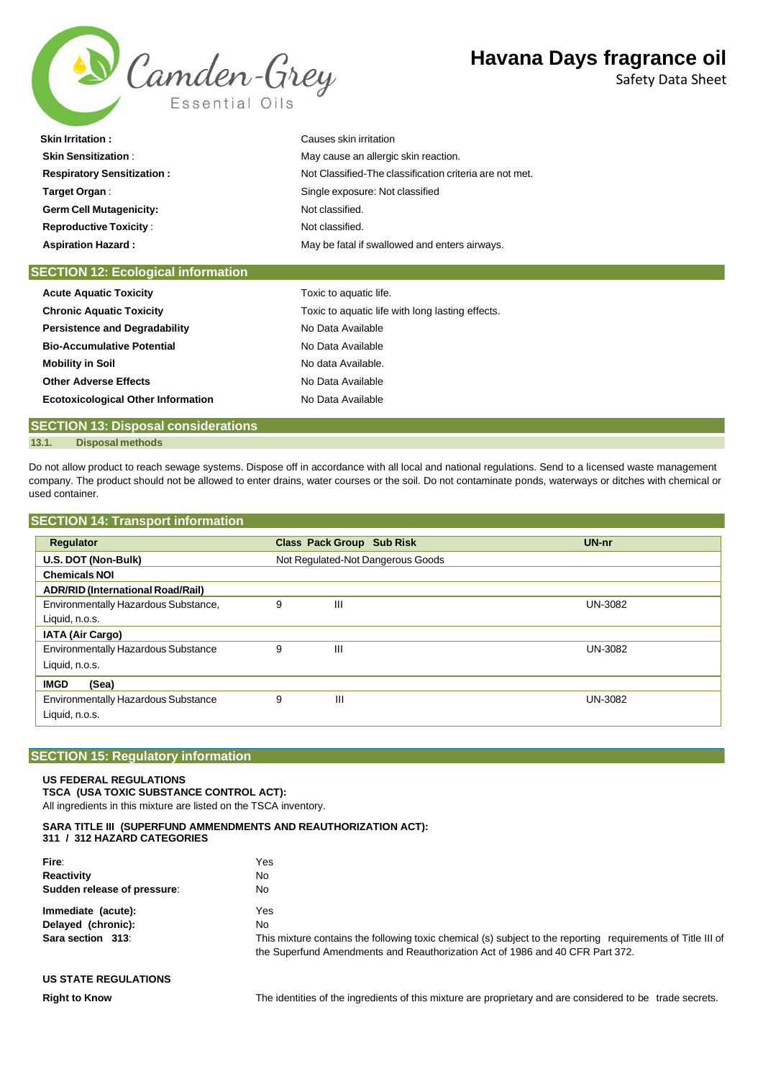

Safety Data Sheet

| <b>Skin Irritation:</b>           | Causes skin irritation                                  |
|-----------------------------------|---------------------------------------------------------|
| <b>Skin Sensitization:</b>        | May cause an allergic skin reaction.                    |
| <b>Respiratory Sensitization:</b> | Not Classified-The classification criteria are not met. |
| Target Organ:                     | Single exposure: Not classified                         |
| <b>Germ Cell Mutagenicity:</b>    | Not classified.                                         |
| <b>Reproductive Toxicity:</b>     | Not classified.                                         |
| <b>Aspiration Hazard:</b>         | May be fatal if swallowed and enters airways.           |
|                                   |                                                         |

| <b>SECTION 12: Ecological information</b> |                                                  |
|-------------------------------------------|--------------------------------------------------|
| <b>Acute Aquatic Toxicity</b>             | Toxic to aquatic life.                           |
| <b>Chronic Aquatic Toxicity</b>           | Toxic to aquatic life with long lasting effects. |
| <b>Persistence and Degradability</b>      | No Data Available                                |
| <b>Bio-Accumulative Potential</b>         | No Data Available                                |
| <b>Mobility in Soil</b>                   | No data Available.                               |
| <b>Other Adverse Effects</b>              | No Data Available                                |
| <b>Ecotoxicological Other Information</b> | No Data Available                                |
|                                           |                                                  |

# **SECTION 13: Disposal considerations 13.1. Disposal methods**

Do not allow product to reach sewage systems. Dispose off in accordance with all local and national regulations. Send to a licensed waste management company. The product should not be allowed to enter drains, water courses or the soil. Do not contaminate ponds, waterways or ditches with chemical or used container.

|  |  |  | <b>SECTION 14: Transport information</b> |  |
|--|--|--|------------------------------------------|--|
|--|--|--|------------------------------------------|--|

| Regulator                                  |   | <b>Class Pack Group Sub Risk</b>  | UN-nr          |
|--------------------------------------------|---|-----------------------------------|----------------|
| U.S. DOT (Non-Bulk)                        |   | Not Regulated-Not Dangerous Goods |                |
| <b>Chemicals NOI</b>                       |   |                                   |                |
| <b>ADR/RID (International Road/Rail)</b>   |   |                                   |                |
| Environmentally Hazardous Substance,       | 9 | Ш                                 | <b>UN-3082</b> |
| Liquid, n.o.s.                             |   |                                   |                |
| IATA (Air Cargo)                           |   |                                   |                |
| <b>Environmentally Hazardous Substance</b> | 9 | Ш                                 | <b>UN-3082</b> |
| Liquid, n.o.s.                             |   |                                   |                |
| (Sea)<br><b>IMGD</b>                       |   |                                   |                |
| <b>Environmentally Hazardous Substance</b> | 9 | Ш                                 | UN-3082        |
| Liquid, n.o.s.                             |   |                                   |                |

# **SECTION 15: Regulatory information**

#### **US FEDERAL REGULATIONS**

**TSCA (USA TOXIC SUBSTANCE CONTROL ACT):** All ingredients in this mixture are listed on the TSCA inventory.

### **SARA TITLE III (SUPERFUND AMMENDMENTS AND REAUTHORIZATION ACT): 311 / 312 HAZARD CATEGORIES**

| Fire:                       | Yes                                                                                                                                                                                           |  |
|-----------------------------|-----------------------------------------------------------------------------------------------------------------------------------------------------------------------------------------------|--|
| Reactivity                  | No                                                                                                                                                                                            |  |
| Sudden release of pressure: | No.                                                                                                                                                                                           |  |
| Immediate (acute):          | Yes                                                                                                                                                                                           |  |
| Delayed (chronic):          | No.                                                                                                                                                                                           |  |
| Sara section 313:           | This mixture contains the following toxic chemical (s) subject to the reporting requirements of Title III of<br>the Superfund Amendments and Reauthorization Act of 1986 and 40 CFR Part 372. |  |

# **US STATE REGULATIONS**

**Right to Know** The identities of the ingredients of this mixture are proprietary and are considered to be trade secrets.